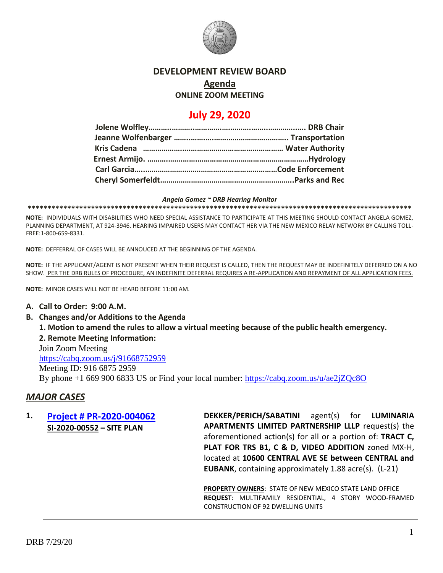

### **DEVELOPMENT REVIEW BOARD**

# **Agenda**

**ONLINE ZOOM MEETING**

## **July 29, 2020**

#### *Angela Gomez ~ DRB Hearing Monitor*

**\*\*\*\*\*\*\*\*\*\*\*\*\*\*\*\*\*\*\*\*\*\*\*\*\*\*\*\*\*\*\*\*\*\*\*\*\*\*\*\*\*\*\*\*\*\*\*\*\*\*\*\*\*\*\*\*\*\*\*\*\*\*\*\*\*\*\*\*\*\*\*\*\*\*\*\*\*\*\*\*\*\*\*\*\*\*\*\*\*\*\*\*\*\*\*\*\***

**NOTE:** INDIVIDUALS WITH DISABILITIES WHO NEED SPECIAL ASSISTANCE TO PARTICIPATE AT THIS MEETING SHOULD CONTACT ANGELA GOMEZ, PLANNING DEPARTMENT, AT 924-3946. HEARING IMPAIRED USERS MAY CONTACT HER VIA THE NEW MEXICO RELAY NETWORK BY CALLING TOLL-FREE:1-800-659-8331.

**NOTE:** DEFFERRAL OF CASES WILL BE ANNOUCED AT THE BEGINNING OF THE AGENDA.

**NOTE:** IF THE APPLICANT/AGENT IS NOT PRESENT WHEN THEIR REQUEST IS CALLED, THEN THE REQUEST MAY BE INDEFINITELY DEFERRED ON A NO SHOW. PER THE DRB RULES OF PROCEDURE, AN INDEFINITE DEFERRAL REQUIRES A RE-APPLICATION AND REPAYMENT OF ALL APPLICATION FEES.

**NOTE:** MINOR CASES WILL NOT BE HEARD BEFORE 11:00 AM.

### **A. Call to Order: 9:00 A.M.**

**B. Changes and/or Additions to the Agenda**

**1. Motion to amend the rules to allow a virtual meeting because of the public health emergency. 2. Remote Meeting Information:**

Join Zoom Meeting <https://cabq.zoom.us/j/91668752959> Meeting ID: 916 6875 2959 By phone +1 669 900 6833 US or Find your local number:<https://cabq.zoom.us/u/ae2jZQc8O>

### *MAJOR CASES*

**1. [Project # PR-2020-004062](http://data.cabq.gov/government/planning/DRB/PR-2020-004062/DRB%20Submittals/PR-2020-004062_Jul_29_2020/Application/DRB%20SP-DRB%20DPS%20PR-2020-004062%20SI-2020-00552%20not%20signed.pdf) SI-2020-00552 – SITE PLAN**

**DEKKER/PERICH/SABATINI** agent(s) for **LUMINARIA APARTMENTS LIMITED PARTNERSHIP LLLP** request(s) the aforementioned action(s) for all or a portion of: **TRACT C, PLAT FOR TRS B1, C & D, VIDEO ADDITION** zoned MX-H, located at **10600 CENTRAL AVE SE between CENTRAL and EUBANK**, containing approximately 1.88 acre(s). (L-21)

**PROPERTY OWNERS**: STATE OF NEW MEXICO STATE LAND OFFICE **REQUEST**: MULTIFAMILY RESIDENTIAL, 4 STORY WOOD-FRAMED CONSTRUCTION OF 92 DWELLING UNITS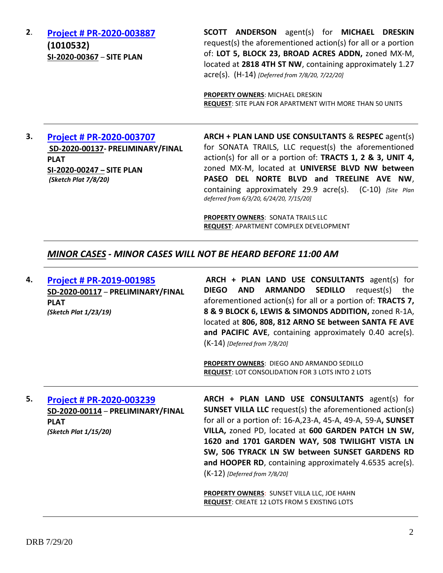**2**. **[Project # PR-2020-003887](http://data.cabq.gov/government/planning/DRB/PR-003887/DRB%20Submittals/PR-2020-003887_Jul_08_2020/Application/) (1010532) SI-2020-00367** – **SITE PLAN**

**SCOTT ANDERSON** agent(s) for **MICHAEL DRESKIN** request(s) the aforementioned action(s) for all or a portion of: **LOT 5, BLOCK 23, BROAD ACRES ADDN,** zoned MX-M, located at **2818 4TH ST NW**, containing approximately 1.27 acre(s). (H-14) *[Deferred from 7/8/20, 7/22/20]*

**PROPERTY OWNERS**: MICHAEL DRESKIN **REQUEST**: SITE PLAN FOR APARTMENT WITH MORE THAN 50 UNITS

**3. [Project # PR-2020-003707](data.cabq.gov/government/planning/DRB/PR-2020-003707/DRB%20Submittals/PR-003707_Jul_15_2020_Supp/Application/2020-003707%20Site%20Plan%20Submittal%203/) SD-2020-00137- PRELIMINARY/FINAL PLAT SI-2020-00247 – SITE PLAN** *(Sketch Plat 7/8/20)*

**ARCH + PLAN LAND USE CONSULTANTS** & **RESPEC** agent(s) for SONATA TRAILS, LLC request(s) the aforementioned action(s) for all or a portion of: **TRACTS 1, 2 & 3, UNIT 4,** zoned MX-M, located at **UNIVERSE BLVD NW between PASEO DEL NORTE BLVD and TREELINE AVE NW**, containing approximately 29.9 acre(s). (C-10) *[Site Plan deferred from 6/3/20, 6/24/20, 7/15/20]*

**PROPERTY OWNERS**: SONATA TRAILS LLC **REQUEST**: APARTMENT COMPLEX DEVELOPMENT

## *MINOR CASES - MINOR CASES WILL NOT BE HEARD BEFORE 11:00 AM*

| 4. | <b>Project # PR-2019-001985</b><br>SD-2020-00117 - PRELIMINARY/FINAL<br><b>PLAT</b><br>(Sketch Plat 1/23/19) | ARCH + PLAN LAND USE CONSULTANTS agent(s) for<br><b>ARMANDO</b><br><b>SEDILLO</b><br><b>DIEGO</b><br><b>AND</b><br>request(s) the<br>aforementioned action(s) for all or a portion of: <b>TRACTS 7,</b><br>8 & 9 BLOCK 6, LEWIS & SIMONDS ADDITION, zoned R-1A,<br>located at 806, 808, 812 ARNO SE between SANTA FE AVE<br>and PACIFIC AVE, containing approximately 0.40 acre(s).<br>$(K-14)$ [Deferred from 7/8/20]                       |
|----|--------------------------------------------------------------------------------------------------------------|----------------------------------------------------------------------------------------------------------------------------------------------------------------------------------------------------------------------------------------------------------------------------------------------------------------------------------------------------------------------------------------------------------------------------------------------|
|    |                                                                                                              | <b>PROPERTY OWNERS: DIEGO AND ARMANDO SEDILLO</b><br><b>REQUEST: LOT CONSOLIDATION FOR 3 LOTS INTO 2 LOTS</b>                                                                                                                                                                                                                                                                                                                                |
| 5. | Project # PR-2020-003239<br>SD-2020-00114 - PRELIMINARY/FINAL<br><b>PLAT</b><br>(Sketch Plat 1/15/20)        | $ARCH + PLAN$ LAND USE CONSULTANTS agent(s) for<br><b>SUNSET VILLA LLC</b> request(s) the aforementioned action(s)<br>for all or a portion of: 16-A,23-A, 45-A, 49-A, 59-A, SUNSET<br>VILLA, zoned PD, located at 600 GARDEN PATCH LN SW,<br>1620 and 1701 GARDEN WAY, 508 TWILIGHT VISTA LN<br>SW, 506 TYRACK LN SW between SUNSET GARDENS RD<br>and HOOPER RD, containing approximately 4.6535 acre(s).<br>$(K-12)$ [Deferred from 7/8/20] |
|    |                                                                                                              | PROPERTY OWNERS: SUNSET VILLA LLC, JOE HAHN<br><b>REQUEST: CREATE 12 LOTS FROM 5 EXISTING LOTS</b>                                                                                                                                                                                                                                                                                                                                           |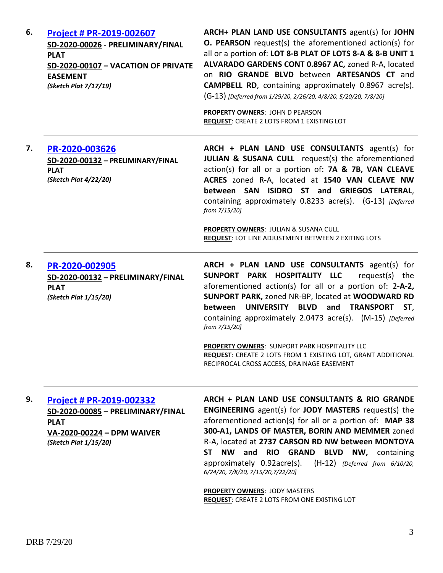| 6. | Project # PR-2019-002607<br>SD-2020-00026 - PRELIMINARY/FINAL<br><b>PLAT</b><br>SD-2020-00107 - VACATION OF PRIVATE<br><b>EASEMENT</b><br>(Sketch Plat 7/17/19) | ARCH+ PLAN LAND USE CONSULTANTS agent(s) for JOHN<br>O. PEARSON request(s) the aforementioned action(s) for<br>all or a portion of: LOT 8-B PLAT OF LOTS 8-A & 8-B UNIT 1<br>ALVARADO GARDENS CONT 0.8967 AC, zoned R-A, located<br>on RIO GRANDE BLVD between ARTESANOS CT and<br><b>CAMPBELL RD</b> , containing approximately 0.8967 acre(s).<br>(G-13) [Deferred from 1/29/20, 2/26/20, 4/8/20, 5/20/20, 7/8/20]<br><b>PROPERTY OWNERS: JOHN D PEARSON</b><br>REQUEST: CREATE 2 LOTS FROM 1 EXISTING LOT                                             |
|----|-----------------------------------------------------------------------------------------------------------------------------------------------------------------|----------------------------------------------------------------------------------------------------------------------------------------------------------------------------------------------------------------------------------------------------------------------------------------------------------------------------------------------------------------------------------------------------------------------------------------------------------------------------------------------------------------------------------------------------------|
| 7. | PR-2020-003626<br>SD-2020-00132 - PRELIMINARY/FINAL<br><b>PLAT</b><br>(Sketch Plat 4/22/20)                                                                     | ARCH + PLAN LAND USE CONSULTANTS agent(s) for<br><b>JULIAN &amp; SUSANA CULL</b> request(s) the aforementioned<br>action(s) for all or a portion of: 7A & 7B, VAN CLEAVE<br>ACRES zoned R-A, located at 1540 VAN CLEAVE NW<br>between SAN ISIDRO ST and GRIEGOS LATERAL,<br>containing approximately 0.8233 acre(s). (G-13) [Deferred<br>from 7/15/20]                                                                                                                                                                                                   |
|    |                                                                                                                                                                 | PROPERTY OWNERS: JULIAN & SUSANA CULL<br><b>REQUEST: LOT LINE ADJUSTMENT BETWEEN 2 EXITING LOTS</b>                                                                                                                                                                                                                                                                                                                                                                                                                                                      |
| 8. | PR-2020-002905<br>SD-2020-00132 - PRELIMINARY/FINAL<br><b>PLAT</b><br>(Sketch Plat 1/15/20)                                                                     | ARCH + PLAN LAND USE CONSULTANTS agent(s) for<br>SUNPORT PARK HOSPITALITY LLC<br>request(s) the<br>aforementioned action(s) for all or a portion of: 2-A-2,<br>SUNPORT PARK, zoned NR-BP, located at WOODWARD RD<br>between UNIVERSITY BLVD and TRANSPORT<br>ST,<br>containing approximately 2.0473 acre(s). (M-15) [Deferred<br>from 7/15/20]                                                                                                                                                                                                           |
|    | PROPERTY OWNERS: SUNPORT PARK HOSPITALITY LLC<br>REQUEST: CREATE 2 LOTS FROM 1 EXISTING LOT, GRANT ADDITIONAL<br>RECIPROCAL CROSS ACCESS, DRAINAGE EASEMENT     |                                                                                                                                                                                                                                                                                                                                                                                                                                                                                                                                                          |
| 9. | Project # PR-2019-002332<br>SD-2020-00085 - PRELIMINARY/FINAL<br><b>PLAT</b><br>VA-2020-00224 - DPM WAIVER<br>(Sketch Plat 1/15/20)                             | ARCH + PLAN LAND USE CONSULTANTS & RIO GRANDE<br><b>ENGINEERING</b> agent(s) for <b>JODY MASTERS</b> request(s) the<br>aforementioned action(s) for all or a portion of: MAP 38<br>300-A1, LANDS OF MASTER, BORIN AND MEMMER zoned<br>R-A, located at 2737 CARSON RD NW between MONTOYA<br><b>NW</b><br><b>ST</b><br>and RIO GRAND BLVD NW, containing<br>approximately 0.92acre(s). (H-12) {Deferred from 6/10/20,<br>6/24/20, 7/8/20, 7/15/20, 7/22/20]<br><b>PROPERTY OWNERS: JODY MASTERS</b><br><b>REQUEST: CREATE 2 LOTS FROM ONE EXISTING LOT</b> |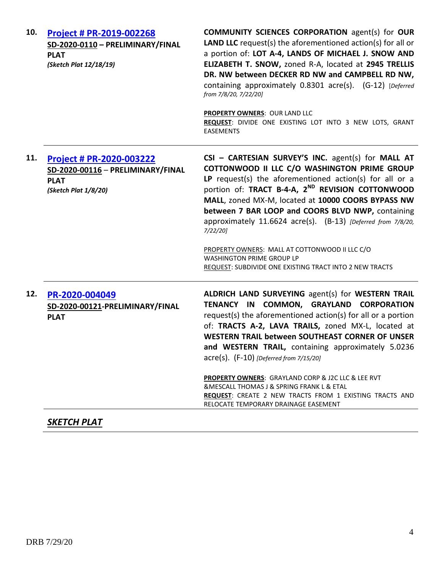| 10. | Project # PR-2019-002268<br>SD-2020-0110 - PRELIMINARY/FINAL<br><b>PLAT</b><br>(Sketch Plat 12/18/19)       | <b>COMMUNITY SCIENCES CORPORATION agent(s) for OUR</b><br><b>LAND LLC</b> request(s) the aforementioned $action(s)$ for all or<br>a portion of: LOT A-4, LANDS OF MICHAEL J. SNOW AND<br>ELIZABETH T. SNOW, zoned R-A, located at 2945 TRELLIS<br>DR. NW between DECKER RD NW and CAMPBELL RD NW,<br>containing approximately 0.8301 acre(s). (G-12) [Deferred<br>from 7/8/20, 7/22/20]<br><b>PROPERTY OWNERS: OUR LAND LLC</b><br>REQUEST: DIVIDE ONE EXISTING LOT INTO 3 NEW LOTS, GRANT<br><b>EASEMENTS</b>                                                                                                                |
|-----|-------------------------------------------------------------------------------------------------------------|-------------------------------------------------------------------------------------------------------------------------------------------------------------------------------------------------------------------------------------------------------------------------------------------------------------------------------------------------------------------------------------------------------------------------------------------------------------------------------------------------------------------------------------------------------------------------------------------------------------------------------|
| 11. | <b>Project # PR-2020-003222</b><br>SD-2020-00116 - PRELIMINARY/FINAL<br><b>PLAT</b><br>(Sketch Plat 1/8/20) | CSI - CARTESIAN SURVEY'S INC. agent(s) for MALL AT<br>COTTONWOOD II LLC C/O WASHINGTON PRIME GROUP<br>LP request(s) the aforementioned action(s) for all or a<br>portion of: TRACT B-4-A, 2 <sup>ND</sup> REVISION COTTONWOOD<br>MALL, zoned MX-M, located at 10000 COORS BYPASS NW<br>between 7 BAR LOOP and COORS BLVD NWP, containing<br>approximately 11.6624 acre(s). (B-13) [Deferred from 7/8/20,<br>$7/22/20$ ]<br>PROPERTY OWNERS: MALL AT COTTONWOOD II LLC C/O<br><b>WASHINGTON PRIME GROUP LP</b><br>REQUEST: SUBDIVIDE ONE EXISTING TRACT INTO 2 NEW TRACTS                                                      |
| 12. | PR-2020-004049<br>SD-2020-00121-PRELIMINARY/FINAL<br><b>PLAT</b>                                            | ALDRICH LAND SURVEYING agent(s) for WESTERN TRAIL<br>TENANCY IN COMMON, GRAYLAND CORPORATION<br>request(s) the aforementioned action(s) for all or a portion<br>of: TRACTS A-2, LAVA TRAILS, zoned MX-L, located at<br><b>WESTERN TRAIL between SOUTHEAST CORNER OF UNSER</b><br>and WESTERN TRAIL, containing approximately 5.0236<br>acre(s). (F-10) [Deferred from 7/15/20]<br><b>PROPERTY OWNERS: GRAYLAND CORP &amp; J2C LLC &amp; LEE RVT</b><br><b>&amp;MESCALL THOMAS J &amp; SPRING FRANK L &amp; ETAL</b><br><b>REQUEST:</b> CREATE 2 NEW TRACTS FROM 1 EXISTING TRACTS AND<br>RELOCATE TEMPORARY DRAINAGE EASEMENT |

## *SKETCH PLAT*